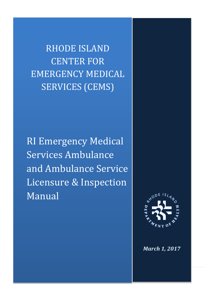RHODE ISLAND CENTER FOR EMERGENCY MEDICAL SERVICES (CEMS)

RI Emergency Medical Services Ambulance and Ambulance Service Licensure & Inspection Manual

Rhode Island EMS Ambulance Licensure and Inspection Manual 2017 1 | Page



*March 1, 2017*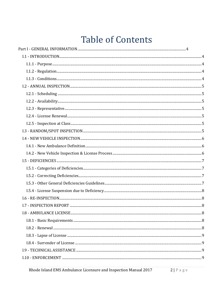# **Table of Contents**

| $1.1.2 - Regularion. \label{equation:1.1.2} \textbf{Regulation}. \textit{} \textit{} \textit{} \textit{} \textit{} \textit{} \textit{} \textit{} \textit{} \textit{} \textit{} \textit{} \textit{} \textit{} \textit{} \textit{} \textit{} \textit{} \textit{} \textit{} \textit{} \textit{} \textit{} \textit{} \textit{} \textit{} \textit{} \textit{} \textit{} \textit{} \textit{} \textit{}$ |  |
|---------------------------------------------------------------------------------------------------------------------------------------------------------------------------------------------------------------------------------------------------------------------------------------------------------------------------------------------------------------------------------------------------|--|
|                                                                                                                                                                                                                                                                                                                                                                                                   |  |
|                                                                                                                                                                                                                                                                                                                                                                                                   |  |
|                                                                                                                                                                                                                                                                                                                                                                                                   |  |
|                                                                                                                                                                                                                                                                                                                                                                                                   |  |
| $1.2.3 - Representative 2.2.3 - Representative 3.3.3.5 - 1.2.3 - Representative 4.3.3.5 - 1.3.3.5 - 1.3.3.5 - 1.3.3.5 - 1.3.3.5 - 1.3.3.5 - 1.3.3.5 - 1.3.3.5 - 1.3.3.5 - 1.3.3.5 - 1.3.3.5 - 1.3.3.5 - 1.3.3.5 - 1.3.3.5 - 1.3.3.5 - 1.3.3.5 - 1.3.3.5 - 1.3.3.5 - 1.3.3.5 - 1.3.3.5 - 1.3.3.5$                                                                                                  |  |
|                                                                                                                                                                                                                                                                                                                                                                                                   |  |
|                                                                                                                                                                                                                                                                                                                                                                                                   |  |
|                                                                                                                                                                                                                                                                                                                                                                                                   |  |
|                                                                                                                                                                                                                                                                                                                                                                                                   |  |
|                                                                                                                                                                                                                                                                                                                                                                                                   |  |
|                                                                                                                                                                                                                                                                                                                                                                                                   |  |
|                                                                                                                                                                                                                                                                                                                                                                                                   |  |
|                                                                                                                                                                                                                                                                                                                                                                                                   |  |
|                                                                                                                                                                                                                                                                                                                                                                                                   |  |
|                                                                                                                                                                                                                                                                                                                                                                                                   |  |
|                                                                                                                                                                                                                                                                                                                                                                                                   |  |
|                                                                                                                                                                                                                                                                                                                                                                                                   |  |
|                                                                                                                                                                                                                                                                                                                                                                                                   |  |
|                                                                                                                                                                                                                                                                                                                                                                                                   |  |
|                                                                                                                                                                                                                                                                                                                                                                                                   |  |
|                                                                                                                                                                                                                                                                                                                                                                                                   |  |
|                                                                                                                                                                                                                                                                                                                                                                                                   |  |
|                                                                                                                                                                                                                                                                                                                                                                                                   |  |
|                                                                                                                                                                                                                                                                                                                                                                                                   |  |
|                                                                                                                                                                                                                                                                                                                                                                                                   |  |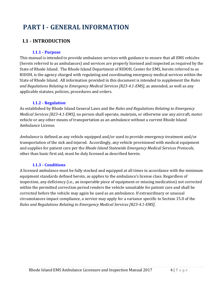# <span id="page-3-0"></span>**PART I - GENERAL INFORMATION**

## <span id="page-3-1"></span>**I.1 - INTRODUCTION**

#### **I.1.1 - Purpose**

<span id="page-3-2"></span>This manual is intended to provide ambulance services with guidance to ensure that all EMS vehicles (herein referred to as ambulances) and services are properly licensed and inspected as required by the State of Rhode Island. The Rhode Island Department of RIDOH, Center for EMS, herein referred to as RIDOH, is the agency charged with regulating and coordinating emergency medical services within the State of Rhode Island. All information provided in this document is intended to supplement the *Rules and Regulations Relating to Emergency Medical Services [R23-4.1-EMS]*, as amended, as well as any applicable statutes, policies, procedures and orders.

#### **I.1.2 - Regulation**

<span id="page-3-3"></span>As established by Rhode Island General Laws and the *Rules and Regulations Relating to Emergency Medical Services [R23-4.1-EMS]*, no person shall operate, maintain, or otherwise use any aircraft, motor vehicle or any other means of transportation as an ambulance without a current Rhode Island Ambulance License.

*Ambulance* is defined as any vehicle equipped and/or used to provide emergency treatment and/or transportation of the sick and injured. Accordingly, any vehicle provisioned with medical equipment and supplies for patient care per the *Rhode Island Statewide Emergency Medical Services Protocols*, other than basic first aid, must be duly licensed as described herein.

#### **I.1.3 - Conditions**

<span id="page-3-4"></span>A licensed ambulance must be fully stocked and equipped at all times in accordance with the minimum equipment standards defined herein, as applies to the ambulance's license class. Regardless of inspection, any deficiency (i.e., an inoperable piece of equipment or missing medication) not corrected within the permitted correction period renders the vehicle unsuitable for patient care and shall be corrected before the vehicle may again be used as an ambulance. If extraordinary or unusual circumstances impact compliance, a service may apply for a variance specific to Section 15.0 of the *Rules and Regulations Relating to Emergency Medical Services [R23-4.1-EMS]*.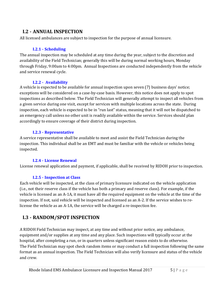## <span id="page-4-0"></span>**I.2 - ANNUAL INSPECTION**

<span id="page-4-1"></span>All licensed ambulances are subject to inspection for the purpose of annual licensure.

#### **I.2.1 - Scheduling**

The annual inspection may be scheduled at any time during the year, subject to the discretion and availability of the Field Technician; generally this will be during normal working hours, Monday through Friday, 9:00am to 4:00pm. Annual Inspections are conducted independently from the vehicle and service renewal cycle.

#### <span id="page-4-2"></span>**I.2.2 - Availability**

A vehicle is expected to be available for annual inspection upon seven (7) business days' notice; exceptions will be considered on a case-by-case basis. However, this notice does not apply to spot inspections as described below. The Field Technician will generally attempt to inspect all vehicles from a given service during one visit, except for services with multiple locations across the state. During inspection, each vehicle is expected to be in "run last" status, meaning that it will not be dispatched to an emergency call unless no other unit is readily available within the service. Services should plan accordingly to ensure coverage of their district during inspection.

#### **I.2.3 - Representative**

<span id="page-4-3"></span>A service representative shall be available to meet and assist the Field Technician during the inspection. This individual shall be an EMT and must be familiar with the vehicle or vehicles being inspected.

#### **I.2.4 - License Renewal**

<span id="page-4-4"></span>License renewal application and payment, if applicable, shall be received by RIDOH prior to inspection.

#### **I.2.5 - Inspection at Class**

<span id="page-4-5"></span>Each vehicle will be inspected, at the class of primary licensure indicated on the vehicle application (i.e., not their reserve class if the vehicle has both a primary and reserve class). For example, if the vehicle is licensed as an A-1A, it must have all the required equipment on the vehicle at the time of the inspection. If not, said vehicle will be inspected and licensed as an A-2. If the service wishes to relicense the vehicle as an A-1A, the service will be charged a re-inspection fee.

## <span id="page-4-6"></span>**I.3 - RANDOM/SPOT INSPECTION**

A RIDOH Field Technician may inspect, at any time and without prior notice, any ambulance, equipment and/or supplies at any time and any place. Such inspections will typically occur at the hospital, after completing a run, or in quarters unless significant reason exists to do otherwise. The Field Technician may spot check random items or may conduct a full inspection following the same format as an annual inspection. The Field Technician will also verify licensure and status of the vehicle and crew.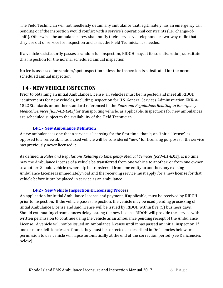The Field Technician will not needlessly detain any ambulance that legitimately has an emergency call pending or if the inspection would conflict with a service's operational constraints (i.e., change-ofshift). Otherwise, the ambulance crew shall notify their service via telephone or two-way radio that they are out of service for inspection and assist the Field Technician as needed.

If a vehicle satisfactorily passes a random full inspection, RIDOH may, at its sole discretion, substitute this inspection for the normal scheduled annual inspection.

No fee is assessed for random/spot inspection unless the inspection is substituted for the normal scheduled annual inspection.

## <span id="page-5-0"></span>**I.4 - NEW VEHICLE INSPECTION**

Prior to obtaining an initial Ambulance License, all vehicles must be inspected and meet all RIDOH requirements for new vehicles, including inspection for U.S. General Services Administration KKK-A-1822 Standards or another standard referenced in the *Rules and Regulations Relating to Emergency Medical Services [R23-4.1-EMS]* for transporting vehicle, as applicable. Inspections for new ambulances are scheduled subject to the availability of the Field Technician.

#### **I.4.1 - New Ambulance Definition**

<span id="page-5-1"></span>A new ambulance is one that a service is licensing for the first time; that is, an "initial license" as opposed to a renewal. Thus a used vehicle will be considered "new" for licensing purposes if the service has previously never licensed it.

As defined in *Rules and Regulations Relating to Emergency Medical Services [R23-4.1-EMS*], at no time may the Ambulance License of a vehicle be transferred from one vehicle to another, or from one owner to another. Should vehicle ownership be transferred from one entity to another, any existing Ambulance License is immediately void and the receiving service must apply for a new license for that vehicle before it can be placed in service as an ambulance.

#### **I.4.2 - New Vehicle Inspection & Licensing Process**

<span id="page-5-2"></span>An application for initial Ambulance License and payment, if applicable, must be received by RIDOH prior to inspection. If the vehicle passes inspection, the vehicle may be used pending processing of initial Ambulance License and said license will be issued by RIDOH within five (5) business days. Should extenuating circumstances delay issuing the new license, RIDOH will provide the service with written permission to continue using the vehicle as an ambulance pending receipt of the Ambulance License. A vehicle will not be issued an Ambulance License until it has passed an initial inspection. If one or more deficiencies are found, they must be corrected as described in Deficiencies below or permission to use vehicle will lapse automatically at the end of the correction period (see Deficiencies below).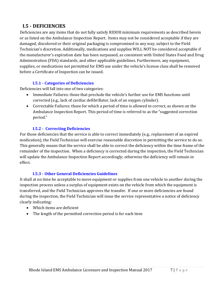## <span id="page-6-0"></span>**I.5 - DEFICIENCIES**

Deficiencies are any items that do not fully satisfy RIDOH minimum requirements as described herein or as listed on the Ambulance Inspection Report. Items may not be considered acceptable if they are damaged, discolored or their original packaging is compromised in any way, subject to the Field Technician's discretion. Additionally, medications and supplies WILL NOT be considered acceptable if the manufacturer's expiration date has been surpassed, as consistent with United States Food and Drug Administration (FDA) standards, and other applicable guidelines. Furthermore, any equipment, supplies, or medications not permitted for EMS use under the vehicle's license class shall be removed before a Certificate of Inspection can be issued.

#### **I.5.1 - Categories of Deficiencies**

<span id="page-6-1"></span>Deficiencies will fall into one of two categories:

- Immediate Failures: those that preclude the vehicle's further use for EMS functions until corrected (e.g., lack of cardiac defibrillator, lack of an oxygen cylinder).
- Correctable Failures: those for which a period of time is allowed to correct, as shown on the Ambulance Inspection Report. This period of time is referred to as the "suggested correction period."

#### <span id="page-6-2"></span>**I.5.2 - Correcting Deficiencies**

For those deficiencies that the service is able to correct immediately (e.g., replacement of an expired medication), the Field Technician will exercise reasonable discretion in permitting the service to do so. This generally means that the service shall be able to correct the deficiency within the time frame of the remainder of the inspection. When a deficiency is corrected during the inspection, the Field Technician will update the Ambulance Inspection Report accordingly; otherwise the deficiency will remain in effect.

#### **I.5.3 - Other General Deficiencies Guidelines**

<span id="page-6-3"></span>It shall at no time be acceptable to move equipment or supplies from one vehicle to another during the inspection process unless a surplus of equipment exists on the vehicle from which the equipment is transferred, and the Field Technician approves the transfer. If one or more deficiencies are found during the inspection, the Field Technician will issue the service representative a notice of deficiency clearly indicating:

- Which items are deficient
- The length of the permitted correction period is for each item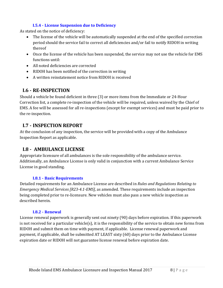#### **I.5.4 - License Suspension due to Deficiency**

<span id="page-7-0"></span>As stated on the notice of deficiency:

- The license of the vehicle will be automatically suspended at the end of the specified correction period should the service fail to correct all deficiencies and/or fail to notify RIDOH in writing thereof
- Once the license of the vehicle has been suspended, the service may not use the vehicle for EMS functions until:
- All noted deficiencies are corrected
- RIDOH has been notified of the correction in writing
- A written reinstatement notice from RIDOH is received

## <span id="page-7-1"></span>**I.6 - RE-INSPECTION**

Should a vehicle be found deficient in three (3) or more items from the Immediate or 24-Hour Correction list, a complete re-inspection of the vehicle will be required, unless waived by the Chief of EMS. A fee will be assessed for all re-inspections (except for exempt services) and must be paid prior to the re-inspection.

## <span id="page-7-2"></span>**I.7 - INSPECTION REPORT**

At the conclusion of any inspection, the service will be provided with a copy of the Ambulance Inspection Report as applicable.

## <span id="page-7-3"></span>**I.8 - AMBULANCE LICENSE**

Appropriate licensure of all ambulances is the sole responsibility of the ambulance service. Additionally, an Ambulance License is only valid in conjunction with a current Ambulance Service License in good standing.

#### **I.8.1 - Basic Requirements**

<span id="page-7-4"></span>Detailed requirements for an Ambulance License are described in *Rules and Regulations Relating to Emergency Medical Services [R23-4.1-EMS]*, as amended. These requirements include an inspection being completed prior to re-licensure. New vehicles must also pass a new vehicle inspection as described herein.

#### **I.8.2 - Renewal**

<span id="page-7-5"></span>License renewal paperwork is generally sent out ninety (90) days before expiration. If this paperwork is not received for a particular vehicle(s), it is the responsibility of the service to obtain new forms from RIDOH and submit them on time with payment, if applicable. License renewal paperwork and payment, if applicable, shall be submitted AT LEAST sixty (60) days prior to the Ambulance License expiration date or RIDOH will not guarantee license renewal before expiration date.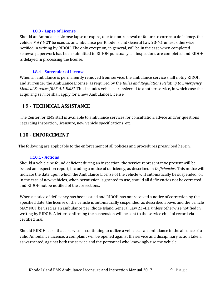#### **I.8.3 - Lapse of License**

<span id="page-8-0"></span>Should an Ambulance License lapse or expire, due to non-renewal or failure to correct a deficiency, the vehicle MAY NOT be used as an ambulance per Rhode Island General Law 23-4.1 unless otherwise notified in writing by RIDOH. The only exception, in general, will be in the case when completed renewal paperwork has been submitted to RIDOH punctually, all inspections are completed and RIDOH is delayed in processing the license.

#### **I.8.4 - Surrender of License**

<span id="page-8-1"></span>When an ambulance is permanently removed from service, the ambulance service shall notify RIDOH and surrender the Ambulance License, as required by the *Rules and Regulations Relating to Emergency Medical Services [R23-4.1-EMS]*. This includes vehicles transferred to another service, in which case the acquiring service shall apply for a new Ambulance License.

## <span id="page-8-2"></span>**I.9 - TECHNICAL ASSISTANCE**

The Center for EMS staff is available to ambulance services for consultation, advice and/or questions regarding inspection, licensure, new vehicle specifications, etc.

## <span id="page-8-3"></span>**I.10 - ENFORCEMENT**

The following are applicable to the enforcement of all policies and procedures prescribed herein.

#### **I.10.1 - Actions**

<span id="page-8-4"></span>Should a vehicle be found deficient during an inspection, the service representative present will be issued an inspection report, including a notice of deficiency, as described in *Deficiencies*. This notice will indicate the date upon which the Ambulance License of the vehicle will automatically be suspended, or, in the case of new vehicles, when permission is granted to use, should all deficiencies not be corrected and RIDOH not be notified of the corrections.

When a notice of deficiency has been issued and RIDOH has not received a notice of correction by the specified date, the license of the vehicle is automatically suspended, as described above, and the vehicle MAY NOT be used as an ambulance per Rhode Island General Law 23-4.1, unless otherwise notified in writing by RIDOH. A letter confirming the suspension will be sent to the service chief of record via certified mail.

Should RIDOH learn that a service is continuing to utilize a vehicle as an ambulance in the absence of a valid Ambulance License; a complaint will be opened against the service and disciplinary action taken, as warranted, against both the service and the personnel who knowingly use the vehicle.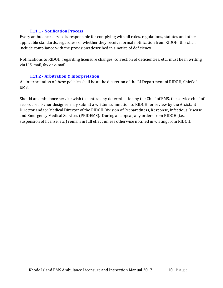#### **I.11.1 - Notification Process**

<span id="page-9-0"></span>Every ambulance service is responsible for complying with all rules, regulations, statutes and other applicable standards, regardless of whether they receive formal notification from RIDOH; this shall include compliance with the provisions described in a notice of deficiency.

Notifications to RIDOH, regarding licensure changes, correction of deficiencies, etc., must be in writing via U.S. mail, fax or e-mail.

#### **I.11.2 - Arbitration & Interpretation**

<span id="page-9-1"></span>All interpretation of these policies shall be at the discretion of the RI Department of RIDOH, Chief of EMS.

Should an ambulance service wish to contest any determination by the Chief of EMS, the service chief of record, or his/her designee, may submit a written summation to RIDOH for review by the Assistant Director and/or Medical Director of the RIDOH Division of Preparedness, Response, Infectious Disease and Emergency Medical Services (PRIDEMS). During an appeal, any orders from RIDOH (i.e., suspension of license, etc.) remain in full effect unless otherwise notified in writing from RIDOH.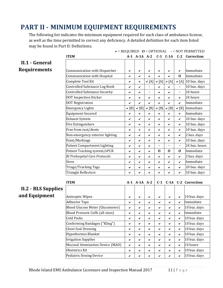# <span id="page-10-0"></span>**PART II - MINIMUM EQUIPMENT REQUIREMENTS**

The following list indicates the minimum equipment required for each class of ambulance license, as well as the time permitted to correct any deficiency. A detailed definition for each item listed may be found in Part II: Definitions.

<span id="page-10-1"></span>

|                     | <b>ITEM</b>                          |              | $A-1$ $A-1A$ $A-2$ |                |              | $C-1$ $C-1A$     | $C-2$          | Correction          |
|---------------------|--------------------------------------|--------------|--------------------|----------------|--------------|------------------|----------------|---------------------|
| II.1 - General      |                                      |              |                    |                |              |                  |                |                     |
| <b>Requirements</b> |                                      |              |                    |                |              |                  |                |                     |
|                     | Communication with Dispatcher        | ✔            | ✔                  | ✔              | ✔            | ✔                | ✔              | Immediate           |
|                     | Communication with Hospital          | $\checkmark$ | ✔                  | ✔              | ✔            | ✓                | $\bf{0}$       | Immediate           |
|                     | Complete Tool Kit                    | ✔            | ✔                  | $\vee$ [A]     | $\vee$ [A]   | $\mathbf{v}$ [A] | $\vee$ [A]     | 10 bus. days        |
|                     | Controlled Substance Log Book        | ✔            | $\checkmark$       |                | ✔            | ✓                |                | 10 bus. days        |
|                     | <b>Controlled Substance Security</b> | ✔            | ✔                  | $\blacksquare$ | $\checkmark$ | ✓                | $\blacksquare$ | 24 hours            |
|                     | <b>DOT Inspection Sticker</b>        | ✔            | $\checkmark$       | ✔              | $\checkmark$ | ✓                | ✓              | 24 hours            |
|                     | <b>DOT Registration</b>              | ✓            | $\checkmark$       | ✔              | ✓            | ✓                | ✔              | Immediate           |
|                     | <b>Emergency Lights</b>              | $\vee$ [B]   | $\vee$ [B]         | [B]<br>✓       | $\vee$ [B]   | $\mathbf{v}$ [B] | $\vee$ [B]     | Immediate           |
|                     | <b>Equipment Secured</b>             | ✔            | ✓                  | ✔              | ✔            | $\checkmark$     | $\checkmark$   | Immediate           |
|                     | <b>Exhaust System</b>                | ✔            | ✔                  | ✔              | ✔            | ✓                | ✓              | 10 bus. days        |
|                     | Fire Extinguishers                   | ✔            | ✔                  | ✔              | ✔            | ✔                | ✔              | 10 bus. days        |
|                     | Free from rust/dents                 | ✔            | ✔                  | ✔              | ✔            | ✓                | ✓              | 10 bus. days        |
|                     | Non-emergency exterior lighting      | ✔            | ✔                  | ✔              | ✔            | ✓                | ✓              | 2 bus. days         |
|                     | Paint/Markings                       | ✔            | ✔                  | ✔              | ✔            | ✓                | ✓              | 10 bus. days        |
|                     | <b>Patient Compartment Lighting</b>  | ✔            | ✔                  | ✔              | ä,           | ä,               | ä,             | 24 bus. hours       |
|                     | Patient Tracking system/ePCR         | ✔            | ✔                  | ✔              | $\bf{0}$     | $\bf{0}$         | $\bf{0}$       | Immediate           |
|                     | RI Prehospital Care Protocols        | ✔            | ✔                  | ✔              | $\checkmark$ | ✓                | ✔              | 2 bus. days         |
|                     | Siren                                | ✔            | $\checkmark$       | ✓              | $\checkmark$ | ✓                | ✔              | Immediate           |
|                     | Triage/Tracking Tags                 | ✔            | ✔                  | ✔              | ✔            | ✔                | $\checkmark$   | 10 bus. days        |
|                     | Triangle Reflectors                  | ✔            | ✓                  | ✓              | $\checkmark$ | ✓                | ✔              | 10 bus. days        |
|                     |                                      |              |                    |                |              |                  |                |                     |
|                     | <b>ITEM</b>                          |              | A-1 A-1A A-2       |                | $C-1$        |                  |                | C-1A C-2 Correction |
| II.2 - BLS Supplies |                                      |              |                    |                |              |                  |                |                     |
|                     |                                      |              |                    |                |              |                  |                |                     |
| and Equipment       | <b>Antiseptic Wipes</b>              | ✔            | ✔                  | ✔              | ✔            | ✔                | ✔              | 10 bus. days        |
|                     | <b>Adhesive Tape</b>                 | ✔            | ✔                  | ✔              | ✓            | ✔                | ✔              | Immediate           |
|                     | Blood Glucose Meter (Glucometer)     | ✔            | ✔                  | ✔              | ✔            | ✔                | ✓              | 10 bus. days        |
|                     | Blood Pressure Cuffs (all sizes)     | ✔            | ✔                  | ✔              | ✓            | ✔                | ✓              | Immediate           |
|                     | Cold Packs                           | ✔            | ✔                  | ✔              | ✔            | ✔                | ✔              | 10 bus. days        |
|                     | Conforming Bandages ("Kling")        | ✔            | ✔                  | ✓              | ✓            | ✓                | ✓              | 10 bus. days        |
|                     | <b>Chest Seal Dressing</b>           | ✔            | ✔                  | ✔              | ✓            | ✓                | ✔              | 10 bus. days        |
|                     | Hypothermia Blanket                  | ✔            | ✔                  | ✓              | ✓            | ✓                | ×.             | 10 bus. days        |
|                     | <b>Irrigation Supplies</b>           | ✔            | ✔                  | ✔              | ✓            | ✓                | ✓              | 10 bus. days        |
|                     | Mucosal Atomization Device (MAD)     | $\checkmark$ | ✔                  | ✔              | ✓            | ✓                | Ý.             | 24 hours            |
|                     |                                      |              |                    |                |              |                  |                |                     |

<span id="page-10-2"></span>Pediatric Dosing Device 10 bus. days

= REQUIRED **O** = OPTIONAL **-** = NOT PERMITTED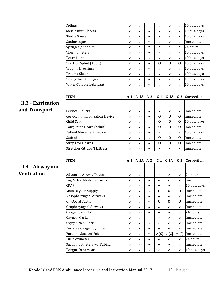| Splints                 | ✔ | ◡            | ✔            | ✔ | ✔            | $\checkmark$ | 10 bus. days |
|-------------------------|---|--------------|--------------|---|--------------|--------------|--------------|
| Sterile Burn Sheets     | ✔ | ✓            | ✓            | ✔ | $\checkmark$ | $\checkmark$ | 10 bus. days |
| Sterile Gauze           | ✔ | ✓            | ✓            | ✔ | $\checkmark$ | $\checkmark$ | 10 bus. days |
| Stethoscopes            | ✔ | ✓            | ✓            | ✔ | ✔            | $\checkmark$ | Immediate    |
| Syringes / needles      | ✔ | ✓            | $\checkmark$ | ✔ | ✔            | $\checkmark$ | 24 hours     |
| Thermometers            | ✔ | $\checkmark$ | $\checkmark$ | ✔ | $\checkmark$ | $\checkmark$ | 10 bus. days |
| Tourniquet              | ✔ | $\checkmark$ | $\checkmark$ | ✔ | $\checkmark$ | $\checkmark$ | 10 bus. days |
| Traction Splint (Adult) | ✔ | ✔            | $\checkmark$ | O | $\bf{0}$     | $\bf{0}$     | 10 bus. days |
| Trauma Dressings        | ✔ | ✓            | $\checkmark$ | ✔ | ✔            | $\checkmark$ | 10 bus. days |
| Trauma Shears           | ✔ | ✓            | ✔            | ✔ | ✔            | $\checkmark$ | 10 bus. days |
| Triangular Bandages     | ✔ | ✓            | ✔            | ✔ | ✔            | $\checkmark$ | 10 bus. days |
| Water-Soluble Lubricant | ✔ | ✔            |              | ✔ | ✔            | $\checkmark$ | 10 bus. days |

## <span id="page-11-0"></span>**II.3 - Extrication**  and **Transport**

| <b>ITEM</b>                    |   |   |   |   | A-1 A-1A A-2 C-1 C-1A C-2 Correction |                |                                |
|--------------------------------|---|---|---|---|--------------------------------------|----------------|--------------------------------|
|                                |   |   |   |   |                                      |                |                                |
| Cervical Collars               | ✔ | ✔ | ✔ | ✔ | $\checkmark$                         | $\checkmark$   | Immediate                      |
| Cervical Immobilization Device | ✔ | ✔ | ✔ | 0 | 0                                    | 0              | <i>Immediate</i>               |
| Child Seat                     | ✔ | ✔ | ✔ | 0 | $\bf{0}$                             | 0              | 10 bus. days                   |
| Long Spine Board (Adult)       | ✔ | ✔ | ✔ | 0 | $\Omega$                             | 0              | <i>Immediate</i>               |
| <b>Patient Movement Device</b> | ✔ | ✔ | ✔ | ✔ | ✔                                    | $\checkmark$   | 10 bus. days                   |
| Stair chair                    | ✔ | ✔ | ✔ | 0 | $\Omega$                             | 0              | <i>Immediate</i>               |
| <b>Straps for Boards</b>       | ✔ | ✔ | ✔ | 0 | 0                                    | 0              | <i><u><b>Immediate</b></u></i> |
| Stretcher/Straps/Mattress      | ✔ | ✔ | ✔ |   |                                      | $\blacksquare$ | Immediate                      |

## <span id="page-11-1"></span>**II.4 - Airway and Ventilation**

| <b>ITEM</b>                   |   |   |   |                  |            |            | A-1 A-1A A-2 C-1 C-1A C-2 Correction |
|-------------------------------|---|---|---|------------------|------------|------------|--------------------------------------|
|                               |   |   |   |                  |            |            |                                      |
| <b>Advanced Airway Device</b> | ✓ | ✔ | ✓ | ✔                | ✔          | ✔          | 24 hours                             |
| Bag-Valve-Masks (all sizes)   | ✔ | ✔ | ✔ | ✔                | ✔          | ✓          | Immediate                            |
| <b>CPAP</b>                   | ✔ | ✔ | ✔ | ✔                | ✔          | ✔          | 10 bus. days                         |
| Main Oxygen Supply            | ✔ | ✔ | ✔ | 0                | 0          | $\bf{0}$   | Immediate                            |
| Nasopharyngeal Airways        | ✔ | ✔ | ✔ | ✔                | ✔          | ✔          | Immediate                            |
| On-Board Suction              | ✔ | ✔ | ✓ | 0                | 0          | $\bf{0}$   | Immediate                            |
| Oropharyngeal Airways         | ✓ | ✔ | ✓ | ✔                | ✓          | ✔          | Immediate                            |
| Oxygen Cannulas               | ✔ | ✔ | ✔ | ✔                | ✔          | ✔          | 24 hours                             |
| Oxygen Masks                  | ✔ | ✔ | ✔ | ✔                | ✔          | ◡          | Immediate                            |
| Oxygen Nebulizer              | ✔ | ✔ | ✔ | ✔                | ✔          | ✔          | Immediate                            |
| Portable Oxygen Cylinder      | ✔ | ✔ | ✔ | ✔                | ✔          | ◡          | Immediate                            |
| <b>Portable Suction Unit</b>  | ✔ | ✔ | ✔ | $\mathbf{v}$ [C] | $\vee$ [C] | $\vee$ [C] | Immediate                            |
| Pulse oximeter                | ✔ | ✔ | ✓ | ✔                | ✔          | ✔          | 24 hours                             |
| Suction Catheters w/Tubing    | ✔ | ✔ | ✔ | ✔                | ✔          | ✓          | Immediate                            |
| Tongue Depressors             | ✔ | ✔ | ✔ | ✔                | ✔          | ✔          | 10 bus. days                         |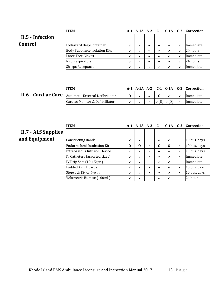<span id="page-12-0"></span>

|                  | <b>ITEM</b>                          |              |   |   |   |   |   | A-1 A-1A A-2 C-1 C-1A C-2 Correction |
|------------------|--------------------------------------|--------------|---|---|---|---|---|--------------------------------------|
| II.5 - Infection |                                      |              |   |   |   |   |   |                                      |
| Control          | Biohazard Bag/Container              | $\checkmark$ | ✔ | ✔ | ✔ | ✔ | ✓ | <i>Immediate</i>                     |
|                  | <b>Body Substance Isolation Kits</b> | ✔            |   | ✓ | ✔ | ✔ | ✔ | 24 hours                             |
|                  | Latex-Free Gloves                    | ✔            | ✔ | ✔ | ✔ | ✔ | ✓ | Immediate                            |
|                  | N95 Respirators                      | ✔            |   | ✔ | ✔ | ✔ | ✔ | 24 hours                             |
|                  | <b>Sharps Receptacle</b>             | ✔            |   | ✓ | ✔ | ✔ | ✔ | Immediate                            |

# <span id="page-12-1"></span>**II.6 - Cardiac Care**

| <b>ITEM</b>                      |  |  |                                     | $A-1$ $A-1A$ $A-2$ $C-1$ $C-1A$ $C-2$ $Correction$ |
|----------------------------------|--|--|-------------------------------------|----------------------------------------------------|
| Automatic External Defibrillator |  |  |                                     | Immediate                                          |
| Cardiac Monitor & Defibrillator  |  |  | $\vert \vee$ [D] $\vee$ [D] $\vert$ | Immediate                                          |

<span id="page-12-2"></span>

|                            | <b>ITEM</b>                   |          |          |   |              |              |                | A-1 A-1A A-2 C-1 C-1A C-2 Correction |
|----------------------------|-------------------------------|----------|----------|---|--------------|--------------|----------------|--------------------------------------|
| <b>II.7 - ALS Supplies</b> |                               |          |          |   |              |              |                |                                      |
| and Equipment              | <b>Constricting Bands</b>     | ✓        | ✔        | ۰ | $\checkmark$ | $\checkmark$ | $\blacksquare$ | 10 bus. days                         |
|                            | Endotracheal Intubation Kit   | $\bf{0}$ | $\Omega$ |   | O            | $\bf{0}$     | $\blacksquare$ | 10 bus. days                         |
|                            | Intraosseous Infusion Device  | ✔        | ✔        |   | ✔            | ✔            |                | 10 bus. days                         |
|                            | IV Catheters (assorted sizes) | ✔        | ✔        |   | ✔            | ✔            | $\blacksquare$ | Immediate                            |
|                            | IV Drip Sets (10-15gtts)      | ✔        | ✔        |   | ✔            | ✔            | $\blacksquare$ | Immediate                            |
|                            | Padded Arm Boards             | ✓        | ✔        |   | ✔            | ✔            | $\blacksquare$ | 10 bus. days                         |
|                            | Stopcock (3- or 4-way)        | ✓        | ✔        |   | ✔            | ✔            | $\blacksquare$ | 10 bus. days                         |
|                            | Volumetric Burette (100mL)    | ✔        |          |   | ✔            | ✔            | $\blacksquare$ | 24 hours                             |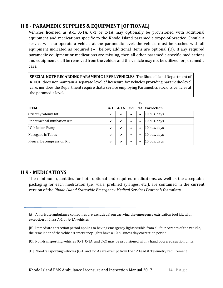## <span id="page-13-0"></span>**II.8 - PARAMEDIC SUPPLIES & EQUIPMENT [OPTIONAL]**

Vehicles licensed as A-1, A-1A, C-1 or C-1A may optionally be provisioned with additional equipment and medications specific to the Rhode Island paramedic scope-of-practice. Should a service wish to operate a vehicle at the paramedic level, the vehicle must be stocked with all equipment indicated as required  $(v)$  below; additional items are optional (0). If any required paramedic equipment or medications are missing, then all other paramedic-specific medications and equipment shall be removed from the vehicle and the vehicle may not be utilized for paramedic care.

**SPECIAL NOTE REGARDING PARAMEDIC-LEVEL VEHICLES:** The Rhode Island Department of RIDOH does not maintain a separate level of licensure for vehicles providing paramedic-level care, nor does the Department require that a service employing Paramedics stock its vehicles at the paramedic level.

|                             |              |              |              | $C-$         |                            |
|-----------------------------|--------------|--------------|--------------|--------------|----------------------------|
| <b>ITEM</b>                 |              |              |              |              | A-1 A-1A C-1 1A Correction |
| Cricothyrotomy Kit          | $\checkmark$ | $\checkmark$ | ✔            | ✔            | 10 bus. days               |
| Endotracheal Intubation Kit | $\checkmark$ | $\checkmark$ | $\checkmark$ | $\checkmark$ | 10 bus. days               |
| <b>IV Infusion Pump</b>     | $\checkmark$ | $\checkmark$ | ✔            | ✔            | 10 bus. days               |
| Nasogastric Tubes           | ✔            | $\checkmark$ | ✔            | $\checkmark$ | 10 bus. days               |
| Pleural Decompression Kit   | ✔            | $\checkmark$ | ✔            | ✔            | 10 bus. days               |

#### <span id="page-13-1"></span>**II.9 - MEDICATIONS**

The minimum quantities for both optional and required medications, as well as the acceptable packaging for each medication (i.e., vials, prefilled syringes, etc.), are contained in the current version of the *Rhode Island Statewide Emergency Medical Services Protocols* formulary.

[A]: All private ambulance companies are excluded from carrying the emergency extrication tool kit, with exception of Class A-1 or A-1A vehicles

[B]: Immediate correction period applies to having emergency lights visible from all four corners of the vehicle, the remainder of the vehicle's emergency lights have a 10 business day correction period.

[C]: Non-transporting vehicles (C-1, C-1A, and C-2) may be provisioned with a hand powered suction units.

[D]: Non-transporting vehicles (C-1, and C-1A) are exempt from the 12 Lead & Telemetry requirement.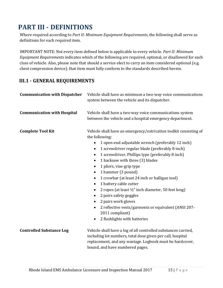## <span id="page-14-0"></span>**PART III - DEFINITIONS**

Where required according to *Part II: Minimum Equipment Requirements*, the following shall serve as definitions for each required item.

IMPORTANT NOTE: Not every item defined below is applicable to every vehicle. *Part II: Minimum Equipment Requirements* indicates which of the following are required, optional, or disallowed for each class of vehicle. Also, please note that should a service elect to carry an item considered optional (e.g. chest compression device), that item must fully conform to the standards described herein.

## <span id="page-14-1"></span>**III.1 - GENERAL REQUIREMENTS**

| <b>Communication with Dispatcher</b> | Vehicle shall have as minimum a two-way voice communications<br>system between the vehicle and its dispatcher.                                                                                                                                                                                                                                                                                                                                                                                                                                                                                                                                                                                                                                                                                      |  |  |  |  |  |  |
|--------------------------------------|-----------------------------------------------------------------------------------------------------------------------------------------------------------------------------------------------------------------------------------------------------------------------------------------------------------------------------------------------------------------------------------------------------------------------------------------------------------------------------------------------------------------------------------------------------------------------------------------------------------------------------------------------------------------------------------------------------------------------------------------------------------------------------------------------------|--|--|--|--|--|--|
| <b>Communication with Hospital</b>   | Vehicle shall have a two-way voice communications system<br>between the vehicle and a hospital emergency department.                                                                                                                                                                                                                                                                                                                                                                                                                                                                                                                                                                                                                                                                                |  |  |  |  |  |  |
| <b>Complete Tool Kit</b>             | Vehicle shall have an emergency/extrication toolkit consisting of<br>the following:<br>1 open-end adjustable wrench (preferably 12 inch)<br>$\bullet$<br>1 screwdriver regular blade (preferably 8 inch)<br>$\bullet$<br>1 screwdriver, Phillips type (preferably 8 inch)<br>$\bullet$<br>1 hacksaw with three (3) blades<br>$\bullet$<br>1 pliers, vise-grip type<br>$\bullet$<br>1 hammer (3 pound)<br>$\bullet$<br>1 crowbar (at least 24 inch or halligan tool)<br>$\bullet$<br>1 battery cable cutter<br>$\bullet$<br>2 ropes (at least 1/2" inch diameter, 50 feet long)<br>$\bullet$<br>2 pairs safety goggles<br>٠<br>2 pairs work gloves<br>$\bullet$<br>2 reflective vests/garments or equivalent (ANSI 207-<br>$\bullet$<br>2011 compliant)<br>2 flashlights with batteries<br>$\bullet$ |  |  |  |  |  |  |
| <b>Controlled Substance Log</b>      | Vehicle shall have a log of all controlled substances carried,<br>including lot numbers, total dose given per call, hospital<br>replacement, and any wastage. Logbook must be hardcover,<br>bound, and have numbered pages.                                                                                                                                                                                                                                                                                                                                                                                                                                                                                                                                                                         |  |  |  |  |  |  |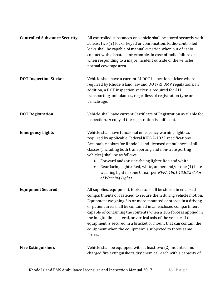| <b>Controlled Substance Security</b> | All controlled substances on vehicle shall be stored securely with<br>at least two (2) locks, keyed or combination. Radio-controlled<br>locks shall be capable of manual override when out of radio<br>contact with dispatch; for example, in case of radio failure or<br>when responding to a major incident outside of the vehicles<br>normal coverage area.                                                                                                                                                                                           |
|--------------------------------------|----------------------------------------------------------------------------------------------------------------------------------------------------------------------------------------------------------------------------------------------------------------------------------------------------------------------------------------------------------------------------------------------------------------------------------------------------------------------------------------------------------------------------------------------------------|
| <b>DOT Inspection Sticker</b>        | Vehicle shall have a current RI DOT inspection sticker where<br>required by Rhode Island law and DOT/RI DMV regulations. In<br>addition, a DOT inspection sticker is required for ALL<br>transporting ambulances, regardless of registration type or<br>vehicle age.                                                                                                                                                                                                                                                                                     |
| <b>DOT Registration</b>              | Vehicle shall have current Certificate of Registration available for<br>inspection. A copy of the registration is sufficient.                                                                                                                                                                                                                                                                                                                                                                                                                            |
| <b>Emergency Lights</b>              | Vehicle shall have functional emergency warning lights as<br>required by applicable Federal KKK-A-1822 specifications.<br>Acceptable colors for Rhode Island-licensed ambulances of all<br>classes (including both transporting and non-transporting<br>vehicles) shall be as follows:<br>Forward and/or side-facing lights: Red and white<br>$\bullet$<br>Rear facing lights: Red, white, amber and/or one (1) blue<br>$\bullet$<br>warning light in zone C rear per NFPA 1901:13.8.12 Color<br>of Warning Lights                                       |
| <b>Equipment Secured</b>             | All supplies, equipment, tools, etc. shall be stored in enclosed<br>compartments or fastened to secure them during vehicle motion.<br>Equipment weighing 3lb or more mounted or stored in a driving<br>or patient area shall be contained in an enclosed compartment<br>capable of containing the contents when a 10G force is applied in<br>the longitudinal, lateral, or vertical axis of the vehicle, if the<br>equipment is secured in a bracket or mount that can contain the<br>equipment when the equipment is subjected to those same<br>forces. |
| <b>Fire Extinguishers</b>            | Vehicle shall be equipped with at least two (2) mounted and<br>charged fire extinguishers, dry chemical, each with a capacity of                                                                                                                                                                                                                                                                                                                                                                                                                         |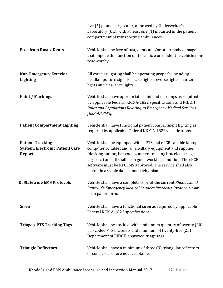|                                                                            | five (5) pounds or greater, approved by Underwriter's<br>Laboratory (UL), with at least one (1) mounted in the patient<br>compartment of transporting ambulances.                                                                                                                                                                                                           |
|----------------------------------------------------------------------------|-----------------------------------------------------------------------------------------------------------------------------------------------------------------------------------------------------------------------------------------------------------------------------------------------------------------------------------------------------------------------------|
| <b>Free from Rust / Dents</b>                                              | Vehicle shall be free of rust, dents and/or other body damage<br>that impede the function of the vehicle or render the vehicle non-<br>roadworthy.                                                                                                                                                                                                                          |
| <b>Non-Emergency Exterior</b><br><b>Lighting</b>                           | All exterior lighting shall be operating properly including<br>headlamps, turn signals, brake lights, reverse lights, marker<br>lights and clearance lights.                                                                                                                                                                                                                |
| <b>Paint / Markings</b>                                                    | Vehicle shall have appropriate paint and markings as required<br>by applicable Federal KKK-A-1822 specifications and RIDOH<br>Rules and Regulations Relating to Emergency Medical Services<br>[R23-4.1EMS].                                                                                                                                                                 |
| <b>Patient Compartment Lighting</b>                                        | Vehicle shall have functional patient compartment lighting as<br>required by applicable Federal KKK-A-1822 specifications.                                                                                                                                                                                                                                                  |
| <b>Patient Tracking</b><br><b>System/Electronic Patient Care</b><br>Report | Vehicle shall be equipped with a PTS and ePCR capable laptop<br>computer or tablet and all ancillary equipment and supplies<br>(docking station, bar code scanner, tracking bracelets, triage<br>tags, etc.) and all shall be in good working condition. The ePCR<br>software must be RI CEMS approved. The service shall also<br>maintain a viable data connectivity plan. |
| <b>RI Statewide EMS Protocols</b>                                          | Vehicle shall have a complete copy of the current Rhode Island<br>Statewide Emergency Medical Services Protocols. Protocols may<br>be in paper form.                                                                                                                                                                                                                        |
| <b>Siren</b>                                                               | Vehicle shall have a functional siren as required by applicable<br>Federal KKK-A-1822 specifications.                                                                                                                                                                                                                                                                       |
| <b>Triage / PTS Tracking Tags</b>                                          | Vehicle shall be stocked with a minimum quantity of twenty (20)<br>bar-coded PTS bracelets and minimum of twenty-five (25)<br>Department of RIDOH approved triage tags                                                                                                                                                                                                      |
| <b>Triangle Reflectors</b>                                                 | Vehicle shall have a minimum of three (3) triangular reflectors<br>or cones. Flares are not acceptable.                                                                                                                                                                                                                                                                     |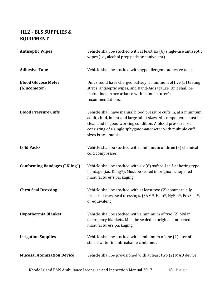## <span id="page-17-0"></span>**III.2 - BLS SUPPLIES & EQUIPMENT**

| <b>Antiseptic Wipes</b>                    | Vehicle shall be stocked with at least six (6) single-use antiseptic<br>wipes (i.e., alcohol prep pads or equivalent).                                                                                                                                                                    |
|--------------------------------------------|-------------------------------------------------------------------------------------------------------------------------------------------------------------------------------------------------------------------------------------------------------------------------------------------|
| <b>Adhesive Tape</b>                       | Vehicle shall be stocked with hypoallergenic adhesive tape.                                                                                                                                                                                                                               |
| <b>Blood Glucose Meter</b><br>(Glucometer) | Unit should have charged battery, a minimum of five (5) testing<br>strips, antiseptic wipes, and Band-Aids/gauze. Unit shall be<br>maintained in accordance with manufacturer's<br>recommendations.                                                                                       |
| <b>Blood Pressure Cuffs</b>                | Vehicle shall have manual blood pressure cuffs in, at a minimum,<br>adult, child, infant and large adult sizes. All components must be<br>clean and in good working condition. A blood pressure set<br>consisting of a single sphygmomanometer with multiple cuff<br>sizes is acceptable. |
| <b>Cold Packs</b>                          | Vehicle shall be stocked with a minimum of three (3) chemical<br>cold compresses.                                                                                                                                                                                                         |
| <b>Conforming Bandages ("Kling")</b>       | Vehicle shall be stocked with six (6) soft roll self-adhering type<br>bandage (i.e., Kling®). Must be sealed in original, unopened<br>manufacturer's packaging.                                                                                                                           |
| <b>Chest Seal Dressing</b>                 | Vehicle shall be stocked with at least two (2) commercially<br>prepared chest seal dressings. (SAM®, Halo®, HyFin®, FoxSeal®,<br>or equivalent)                                                                                                                                           |
| <b>Hypothermia Blanket</b>                 | Vehicle shall be stocked with a minimum of two (2) Mylar<br>emergency blankets. Must be sealed in original, unopened<br>manufacturers packaging.                                                                                                                                          |
| <b>Irrigation Supplies</b>                 | Vehicle shall be stocked with a minimum of one (1) liter of<br>sterile water in unbreakable container.                                                                                                                                                                                    |
| <b>Mucosal Atomization Device</b>          | Vehicle shall be provisioned with at least two (2) MAD device.                                                                                                                                                                                                                            |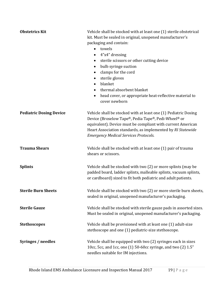| <b>Obstetrics Kit</b>          | Vehicle shall be stocked with at least one (1) sterile obstetrical<br>kit. Must be sealed in original, unopened manufacturer's<br>packaging and contain:<br>towels<br>$\bullet$<br>4"x4" dressing<br>$\bullet$<br>sterile scissors or other cutting device<br>bulb syringe suction<br>$\bullet$<br>clamps for the cord<br>$\bullet$<br>sterile gloves<br>blanket<br>$\bullet$<br>thermal absorbent blanket<br>$\bullet$<br>head cover, or appropriate heat-reflective material to<br>$\bullet$<br>cover newborn |
|--------------------------------|-----------------------------------------------------------------------------------------------------------------------------------------------------------------------------------------------------------------------------------------------------------------------------------------------------------------------------------------------------------------------------------------------------------------------------------------------------------------------------------------------------------------|
| <b>Pediatric Dosing Device</b> | Vehicle shall be stocked with at least one (1) Pediatric Dosing<br>Device (Broselow Tape®, Pedia Tape®, Pedi-Wheel® or<br>equivalent). Device must be compliant with current American<br>Heart Association standards, as implemented by RI Statewide<br><b>Emergency Medical Services Protocols.</b>                                                                                                                                                                                                            |
| <b>Trauma Shears</b>           | Vehicle shall be stocked with at least one (1) pair of trauma<br>shears or scissors.                                                                                                                                                                                                                                                                                                                                                                                                                            |
| <b>Splints</b>                 | Vehicle shall be stocked with two (2) or more splints (may be<br>padded board, ladder splints, malleable splints, vacuum splints,<br>or cardboard) sized to fit both pediatric and adult patients.                                                                                                                                                                                                                                                                                                              |
| <b>Sterile Burn Sheets</b>     | Vehicle shall be stocked with two (2) or more sterile burn sheets,<br>sealed in original, unopened manufacturer's packaging.                                                                                                                                                                                                                                                                                                                                                                                    |
| <b>Sterile Gauze</b>           | Vehicle shall be stocked with sterile gauze pads in assorted sizes.<br>Must be sealed in original, unopened manufacturer's packaging.                                                                                                                                                                                                                                                                                                                                                                           |
| <b>Stethoscopes</b>            | Vehicle shall be provisioned with at least one (1) adult-size<br>stethoscope and one (1) pediatric-size stethoscope.                                                                                                                                                                                                                                                                                                                                                                                            |
| Syringes / needles             | Vehicle shall be equipped with two (2) syringes each in sizes<br>10cc, 5cc, and 1cc, one (1) 50-60cc syringe, and two (2) 1.5"<br>needles suitable for IM injections.                                                                                                                                                                                                                                                                                                                                           |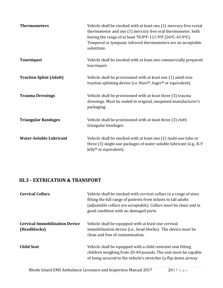| <b>Thermometers</b>            | Vehicle shall be stocked with at least one (1) mercury-free rectal<br>thermometer and one (1) mercury free oral thermometer, both<br>having the range of at least $78.0^{\circ}F - 111.9^{\circ}F (26^{\circ}C - 43.9^{\circ}C)$ .<br>Temporal or tympanic infrared thermometers are an acceptable<br>substitute. |
|--------------------------------|-------------------------------------------------------------------------------------------------------------------------------------------------------------------------------------------------------------------------------------------------------------------------------------------------------------------|
| <b>Tourniquet</b>              | Vehicle shall be stocked with at least one commercially prepared<br>tourniquet.                                                                                                                                                                                                                                   |
| <b>Traction Splint (Adult)</b> | Vehicle shall be provisioned with at least one (1) adult-size<br>traction splinting device (i.e. Hare®, Sager® or equivalent).                                                                                                                                                                                    |
| <b>Trauma Dressings</b>        | Vehicle shall be provisioned with at least three (3) trauma<br>dressings. Must be sealed in original, unopened manufacturer's<br>packaging.                                                                                                                                                                       |
| <b>Triangular Bandages</b>     | Vehicle shall be provisioned with at least three (3) cloth<br>triangular bandages.                                                                                                                                                                                                                                |
| <b>Water-Soluble Lubricant</b> | Vehicle shall be stocked with at least one (1) multi-use tube or<br>three (3) single-use packages of water soluble lubricant (e.g., K-Y<br>Jelly <sup>®</sup> or equivalent).                                                                                                                                     |

## <span id="page-19-0"></span>**III.3 - EXTRICATION & TRANSPORT**

| <b>Cervical Collars</b>                               | Vehicle shall be stocked with cervical collars in a range of sizes<br>fitting the full range of patients from infants to tall adults<br>(adjustable collars are acceptable). Collars must be clean and in<br>good condition with no damaged parts. |
|-------------------------------------------------------|----------------------------------------------------------------------------------------------------------------------------------------------------------------------------------------------------------------------------------------------------|
| <b>Cervical Immobilization Device</b><br>(Headblocks) | Vehicle shall be equipped with at least one cervical<br>immobilization device (i.e., head blocks). The device must be<br>clean and free of contamination.                                                                                          |
| <b>Child Seat</b>                                     | Vehicle shall be equipped with a child restraint seat fitting<br>children weighing from 20-40 pounds. The seat must be capable<br>of being secured to the vehicle's stretcher (a flip-down airway                                                  |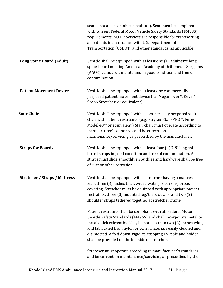|                                      | seat is not an acceptable substitute). Seat must be compliant<br>with current Federal Motor Vehicle Safety Standards (FMVSS)<br>requirements. NOTE: Services are responsible for transporting<br>all patients in accordance with U.S. Department of<br>Transportation (USDOT) and other standards, as applicable.                                                                                 |
|--------------------------------------|---------------------------------------------------------------------------------------------------------------------------------------------------------------------------------------------------------------------------------------------------------------------------------------------------------------------------------------------------------------------------------------------------|
| <b>Long Spine Board (Adult)</b>      | Vehicle shall be equipped with at least one (1) adult-size long<br>spine-board meeting American Academy of Orthopedic Surgeons<br>(AAOS) standards, maintained in good condition and free of<br>contamination.                                                                                                                                                                                    |
| <b>Patient Movement Device</b>       | Vehicle shall be equipped with at least one commercially<br>prepared patient movement device (i.e. Megamover®, Reves®,<br>Scoop Stretcher, or equivalent).                                                                                                                                                                                                                                        |
| <b>Stair Chair</b>                   | Vehicle shall be equipped with a commercially prepared stair<br>chair with patient restraints. (e.g., Stryker Stair-PRO™, Ferno<br>Model 40 <sup>™</sup> or equivalent.) Stair chair must operate according to<br>manufacturer's standards and be current on<br>maintenance/servicing as prescribed by the manufacturer.                                                                          |
| <b>Straps for Boards</b>             | Vehicle shall be equipped with at least four (4) 7-9' long spine<br>board straps in good condition and free of contamination. All<br>straps must slide smoothly in buckles and hardware shall be free<br>of rust or other corrosion.                                                                                                                                                              |
| <b>Stretcher / Straps / Mattress</b> | Vehicle shall be equipped with a stretcher having a mattress at<br>least three (3) inches thick with a waterproof non-porous<br>covering. Stretcher must be equipped with appropriate patient<br>restraints: three (3) mounted leg/torso straps, and two (2)<br>shoulder straps tethered together at stretcher frame.                                                                             |
|                                      | Patient restraints shall be compliant with all Federal Motor<br>Vehicle Safety Standards (FMVSS) and shall incorporate metal to<br>metal quick release buckles, be not less than two (2) inches wide,<br>and fabricated from nylon or other materials easily cleaned and<br>disinfected. A fold down, rigid, telescoping I.V. pole and holder<br>shall be provided on the left side of stretcher. |
|                                      | Stretcher must operate according to manufacturer's standards<br>and be current on maintenance/servicing as prescribed by the                                                                                                                                                                                                                                                                      |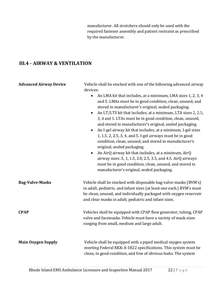manufacturer. All stretchers should only be used with the required fastener assembly and patient restraint as prescribed by the manufacturer.

## <span id="page-21-0"></span>**III.4 - AIRWAY & VENTILATION**

| <b>Advanced Airway Device</b> | Vehicle shall be stocked with one of the following advanced airway<br>devices:<br>An LMA kit that includes, at a minimum, LMA sizes 1, 2, 3, 4<br>$\bullet$<br>and 5. LMAs must be in good condition, clean, unused, and<br>stored in manufacturer's original, sealed packaging.<br>An LT/LTS kit that includes, at a minimum, LTA sizes 2, 2.5,<br>$\bullet$<br>3, 4 and 5. LTAs must be in good condition, clean, unused,<br>and stored in manufacturer's original, sealed packaging.<br>An I-gel airway kit that includes, at a minimum, I-gel sizes<br>1, 1.5, 2, 2.5, 3, 4, and 5. I-gel airways must be in good<br>condition, clean, unused, and stored in manufacturer's<br>original, sealed packaging.<br>An AirQ airway kit that includes, at a minimum, AirQ<br>$\bullet$<br>airway sizes .5, 1, 1.5, 2.0, 2.5, 3.5, and 4.5. AirQ airways<br>must be in good condition, clean, unused, and stored in<br>manufacturer's original, sealed packaging. |
|-------------------------------|---------------------------------------------------------------------------------------------------------------------------------------------------------------------------------------------------------------------------------------------------------------------------------------------------------------------------------------------------------------------------------------------------------------------------------------------------------------------------------------------------------------------------------------------------------------------------------------------------------------------------------------------------------------------------------------------------------------------------------------------------------------------------------------------------------------------------------------------------------------------------------------------------------------------------------------------------------------|
| <b>Bag-Valve-Masks</b>        | Vehicle shall be stocked with disposable bag-valve-masks (BVM's)<br>in adult, pediatric, and infant sizes (at least one each.) BVM's must<br>be clean, unused, and individually packaged with oxygen reservoir<br>and clear masks in adult, pediatric and infant sizes.                                                                                                                                                                                                                                                                                                                                                                                                                                                                                                                                                                                                                                                                                       |
| <b>CPAP</b>                   | Vehicles shall be equipped with CPAP flow generator, tubing, CPAP<br>valve and facemasks. Vehicle must have a variety of mask sizes<br>ranging from small, medium and large adult.                                                                                                                                                                                                                                                                                                                                                                                                                                                                                                                                                                                                                                                                                                                                                                            |
| <b>Main Oxygen Supply</b>     | Vehicle shall be equipped with a piped medical oxygen system<br>meeting Federal KKK-A-1822 specifications. This system must be<br>clean, in good condition, and free of obvious leaks. The system                                                                                                                                                                                                                                                                                                                                                                                                                                                                                                                                                                                                                                                                                                                                                             |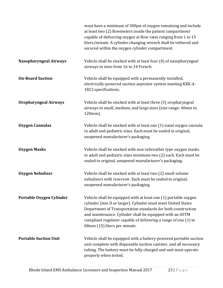|                               | must have a minimum of 300psi of oxygen remaining and include<br>at least two (2) flowmeters inside the patient compartment<br>capable of delivering oxygen at flow rates ranging from 1 to 15<br>liters/minute. A cylinder changing wrench shall be tethered and<br>secured within the oxygen cylinder compartment.                                               |
|-------------------------------|--------------------------------------------------------------------------------------------------------------------------------------------------------------------------------------------------------------------------------------------------------------------------------------------------------------------------------------------------------------------|
| <b>Nasopharyngeal Airways</b> | Vehicle shall be stocked with at least four (4) of nasopharyngeal<br>airways in sizes from 16 to 34 French.                                                                                                                                                                                                                                                        |
| <b>On-Board Suction</b>       | Vehicle shall be equipped with a permanently-installed,<br>electrically-powered suction aspirator system meeting KKK-A-<br>1822 specifications.                                                                                                                                                                                                                    |
| <b>Oropharyngeal Airways</b>  | Vehicle shall be stocked with at least three (3) oropharyngeal<br>airways in small, medium, and large sizes (size range: 40mm to<br>120mm).                                                                                                                                                                                                                        |
| <b>Oxygen Cannulas</b>        | Vehicle shall be stocked with at least one (1) nasal oxygen cannula<br>in adult and pediatric sizes. Each must be sealed in original,<br>unopened manufacturer's packaging.                                                                                                                                                                                        |
| <b>Oxygen Masks</b>           | Vehicle shall be stocked with non-rebreather type oxygen masks<br>in adult and pediatric sizes minimum two (2) each. Each must be<br>sealed in original, unopened manufacturer's packaging.                                                                                                                                                                        |
| <b>Oxygen Nebulizer</b>       | Vehicle shall be stocked with at least two (2) small volume<br>nebulizers with reservoir. Each must be sealed in original,<br>unopened manufacturer's packaging.                                                                                                                                                                                                   |
| Portable Oxygen Cylinder      | Vehicle shall be equipped with at least one (1) portable oxygen<br>cylinder (size D or larger). Cylinder must meet United States<br>Department of Transportation standards for both construction<br>and maintenance. Cylinder shall be equipped with an ASTM<br>compliant regulator capable of delivering a range of one (1) to<br>fifteen (15) liters per minute. |
| <b>Portable Suction Unit</b>  | Vehicle shall be equipped with a battery-powered portable suction<br>unit complete with disposable suction canister, and all necessary<br>tubing. The battery must be fully charged and unit must operate<br>properly when tested.                                                                                                                                 |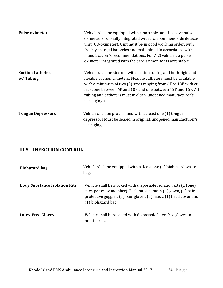| <b>Pulse oximeter</b>                | Vehicle shall be equipped with a portable, non-invasive pulse<br>oximeter, optionally integrated with a carbon monoxide detection<br>unit (CO-oximeter). Unit must be in good working order, with<br>freshly charged batteries and maintained in accordance with<br>manufacturer's recommendations. For ALS vehicles, a pulse<br>oximeter integrated with the cardiac monitor is acceptable. |
|--------------------------------------|----------------------------------------------------------------------------------------------------------------------------------------------------------------------------------------------------------------------------------------------------------------------------------------------------------------------------------------------------------------------------------------------|
| <b>Suction Catheters</b><br>w/Tubing | Vehicle shall be stocked with suction tubing and both rigid and<br>flexible suction catheters. Flexible catheters must be available<br>with a minimum of two (2) sizes ranging from 6F to 18F with at<br>least one between 6F and 10F and one between 12F and 16F. All<br>tubing and catheters must in clean, unopened manufacturer's<br>packaging.).                                        |
| <b>Tongue Depressors</b>             | Vehicle shall be provisioned with at least one (1) tongue<br>depressors Must be sealed in original, unopened manufacturer's<br>packaging.                                                                                                                                                                                                                                                    |

## <span id="page-23-0"></span>**III.5 - INFECTION CONTROL**

| <b>Biohazard bag</b>                 | Vehicle shall be equipped with at least one (1) biohazard waste<br>bag.                                                                                                                                                      |
|--------------------------------------|------------------------------------------------------------------------------------------------------------------------------------------------------------------------------------------------------------------------------|
| <b>Body Substance Isolation Kits</b> | Vehicle shall be stocked with disposable isolation kits (1 (one)<br>each per crew member). Each must contain (1) gown, (1) pair<br>protective goggles, (1) pair gloves, (1) mask, (1) head cover and<br>$(1)$ biohazard bag. |
| <b>Latex-Free Gloves</b>             | Vehicle shall be stocked with disposable latex-free gloves in<br>multiple sizes.                                                                                                                                             |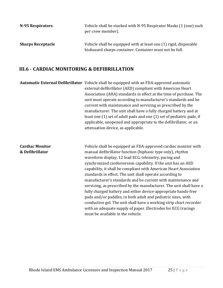| N-95 Respirators         | Vehicle shall be stocked with N-95 Respirator Masks (1 (one) each<br>per crew member).                                       |
|--------------------------|------------------------------------------------------------------------------------------------------------------------------|
| <b>Sharps Receptacle</b> | Vehicle shall be equipped with at least one (1) rigid, disposable<br>biohazard sharps container. Container must not be full. |

#### <span id="page-24-0"></span>**III.6 - CARDIAC MONITORING & DEFIBRILLATION**

**Automatic External Defibrillator** Vehicle shall be equipped with an FDA-approved automatic external defibrillator (AED) compliant with American Heart Association (AHA) standards in effect at the time of purchase. The unit must operate according to manufacturer's standards and be current with maintenance and servicing as prescribed by the manufacturer. The unit shall have a fully charged battery and at least one (1) set of adult pads and one (1) set of pediatric pads, if applicable, unopened and appropriate to the defibrillator, or an attenuation device, as applicable.

**Cardiac Monitor & Defibrillator** Vehicle shall be equipped an FDA-approved cardiac monitor with manual defibrillator function (biphasic type only), rhythm waveform display, 12 lead ECG, telemetry, pacing and synchronized cardioversion capability. If the unit has an AED capability, it shall be compliant with American Heart Association standards in effect. The unit shall operate according to manufacturer's standards and be current with maintenance and servicing, as prescribed by the manufacturer. The unit shall have a fully charged battery and either device-appropriate hands-free pads and/or paddles, in both adult and pediatric sizes, with conductive gel. The unit shall have a working strip chart recorder with an adequate supply of paper. Electrodes for ECG tracings must be available in the vehicle.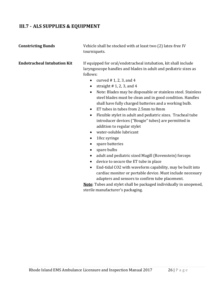## <span id="page-25-0"></span>**III.7 - ALS SUPPLIES & EQUIPMENT**

| <b>Constricting Bands</b>          | Vehicle shall be stocked with at least two (2) latex-free IV<br>tourniquets.                                                                                                                                                                                                                                                                                                                                                                                                                                                                                                                                                                                                                     |
|------------------------------------|--------------------------------------------------------------------------------------------------------------------------------------------------------------------------------------------------------------------------------------------------------------------------------------------------------------------------------------------------------------------------------------------------------------------------------------------------------------------------------------------------------------------------------------------------------------------------------------------------------------------------------------------------------------------------------------------------|
| <b>Endotracheal Intubation Kit</b> | If equipped for oral/endotracheal intubation, kit shall include<br>laryngoscope handles and blades in adult and pediatric sizes as<br>follows:<br>curved $# 1, 2, 3, and 4$<br>$\bullet$<br>straight $# 1, 2, 3,$ and $4$<br>$\bullet$<br>Note: Blades may be disposable or stainless steel. Stainless<br>$\bullet$<br>steel blades must be clean and in good condition. Handles<br>shall have fully charged batteries and a working bulb.<br>ET tubes in tubes from 2.5mm to 8mm<br>$\bullet$<br>Flexible stylet in adult and pediatric sizes. Tracheal tube<br>$\bullet$<br>introducer devices ("Bougie" tubes) are permitted in<br>addition to regular stylet<br>$\cdot$ . The set of $\cdot$ |

- water-soluble lubricant
- 10cc syringe
- spare batteries
- spare bulbs
- adult and pediatric sized Magill (Rovenstein) forceps
- device to secure the ET tube in place
- End-tidal CO2 with waveform capability, may be built into cardiac monitor or portable device. Must include necessary adapters and sensors to confirm tube placement.

**Note**: Tubes and stylet shall be packaged individually in unopened, sterile manufacturer's packaging.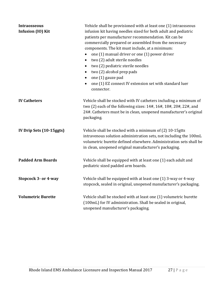| Intraosseous<br>Infusion (IO) Kit | Vehicle shall be provisioned with at least one (1) intraosseous<br>infusion kit having needles sized for both adult and pediatric<br>patients per manufacturer recommendation. Kit can be<br>commercially prepared or assembled from the necessary<br>components. The kit must include, at a minimum:<br>one (1) manual driver or one (1) power driver<br>$\bullet$<br>two (2) adult sterile needles<br>$\bullet$<br>two (2) pediatric sterile needles<br>$\bullet$<br>two (2) alcohol prep pads<br>$\bullet$<br>one (1) gauze pad<br>$\bullet$<br>one (1) EZ connect IV extension set with standard luer<br>connector. |
|-----------------------------------|-------------------------------------------------------------------------------------------------------------------------------------------------------------------------------------------------------------------------------------------------------------------------------------------------------------------------------------------------------------------------------------------------------------------------------------------------------------------------------------------------------------------------------------------------------------------------------------------------------------------------|
| <b>IV Catheters</b>               | Vehicle shall be stocked with IV catheters including a minimum of<br>two (2) each of the following sizes: 14#, 16#, 18#, 20#, 22#, and<br>24#. Catheters must be in clean, unopened manufacturer's original<br>packaging.                                                                                                                                                                                                                                                                                                                                                                                               |
| IV Drip Sets (10-15ggts)          | Vehicle shall be stocked with a minimum of (2) 10-15gtts<br>intravenous solution administration sets, not including the 100mL<br>volumetric burette defined elsewhere. Administration sets shall be<br>in clean, unopened original manufacturer's packaging.                                                                                                                                                                                                                                                                                                                                                            |
| <b>Padded Arm Boards</b>          | Vehicle shall be equipped with at least one (1) each adult and<br>pediatric sized padded arm boards.                                                                                                                                                                                                                                                                                                                                                                                                                                                                                                                    |
| Stopcock 3- or 4-way              | Vehicle shall be equipped with at least one (1) 3-way or 4-way<br>stopcock, sealed in original, unopened manufacturer's packaging.                                                                                                                                                                                                                                                                                                                                                                                                                                                                                      |
| <b>Volumetric Burette</b>         | Vehicle shall be stocked with at least one (1) volumetric burette<br>(100mL) for IV administration. Shall be sealed in original,<br>unopened manufacturer's packaging.                                                                                                                                                                                                                                                                                                                                                                                                                                                  |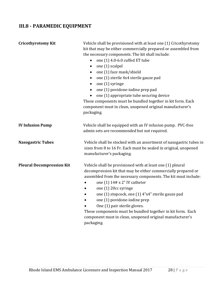## <span id="page-27-0"></span>**III.8 - PARAMEDIC EQUIPMENT**

| <b>Cricothyrotomy Kit</b>        | Vehicle shall be provisioned with at least one (1) Cricothyrotomy<br>kit that may be either commercially prepared or assembled from<br>the necessary components. The kit shall include:<br>one (1) 4.0-6.0 cuffed ET tube<br>$\bullet$<br>one (1) scalpel<br>$\bullet$<br>one (1) face mask/shield<br>$\bullet$<br>one (1) sterile 4x4 sterile gauze pad<br>$\bullet$<br>one (1) syringe<br>$\bullet$<br>one (1) povidone-iodine prep pad<br>$\bullet$<br>one (1) appropriate tube securing device<br>$\bullet$<br>These components must be bundled together in kit form. Each<br>component must in clean, unopened original manufacturer's<br>packaging. |
|----------------------------------|-----------------------------------------------------------------------------------------------------------------------------------------------------------------------------------------------------------------------------------------------------------------------------------------------------------------------------------------------------------------------------------------------------------------------------------------------------------------------------------------------------------------------------------------------------------------------------------------------------------------------------------------------------------|
| <b>IV Infusion Pump</b>          | Vehicle shall be equipped with an IV infusion pump. PVC-free<br>admin sets are recommended but not required.                                                                                                                                                                                                                                                                                                                                                                                                                                                                                                                                              |
| <b>Nasogastric Tubes</b>         | Vehicle shall be stocked with an assortment of nasogastric tubes in<br>sizes from 8 to 16 Fr. Each must be sealed in original, unopened<br>manufacturer's packaging.                                                                                                                                                                                                                                                                                                                                                                                                                                                                                      |
| <b>Pleural Decompression Kit</b> | Vehicle shall be provisioned with at least one (1) pleural<br>decompression kit that may be either commercially prepared or<br>assembled from the necessary components. The kit must include:<br>one $(1)$ 14# x 2" IV catheter<br>one (1) 20cc syringe<br>$\bullet$<br>one (1) stopcock, one (1) 4"x4" sterile gauze pad<br>$\bullet$<br>one (1) povidone-iodine prep<br>$\bullet$<br>One (1) pair sterile gloves.<br>These components must be bundled together in kit form. Each<br>component must in clean, unopened original manufacturer's<br>packaging.                                                                                             |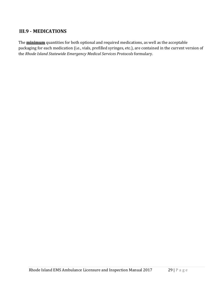## <span id="page-28-0"></span>**III.9 - MEDICATIONS**

The **minimum** quantities for both optional and required medications, as well as the acceptable packaging for each medication (i.e., vials, prefilled syringes, etc.), are contained in the current version of the *Rhode Island Statewide Emergency Medical Services Protocols* formulary.